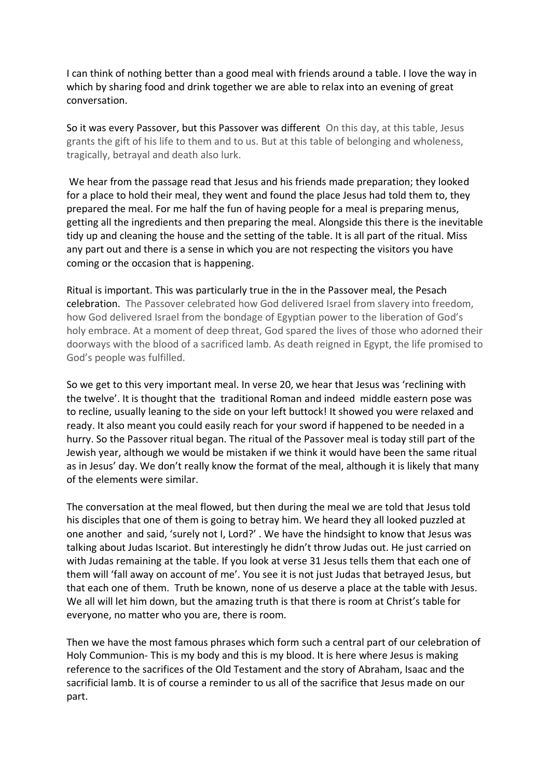I can think of nothing better than a good meal with friends around a table. I love the way in which by sharing food and drink together we are able to relax into an evening of great conversation.

So it was every Passover, but this Passover was different On this day, at this table, Jesus grants the gift of his life to them and to us. But at this table of belonging and wholeness, tragically, betrayal and death also lurk.

We hear from the passage read that Jesus and his friends made preparation; they looked for a place to hold their meal, they went and found the place Jesus had told them to, they prepared the meal. For me half the fun of having people for a meal is preparing menus, getting all the ingredients and then preparing the meal. Alongside this there is the inevitable tidy up and cleaning the house and the setting of the table. It is all part of the ritual. Miss any part out and there is a sense in which you are not respecting the visitors you have coming or the occasion that is happening.

Ritual is important. This was particularly true in the in the Passover meal, the Pesach celebration. The Passover celebrated how God delivered Israel from slavery into freedom, how God delivered Israel from the bondage of Egyptian power to the liberation of God's holy embrace. At a moment of deep threat, God spared the lives of those who adorned their doorways with the blood of a sacrificed lamb. As death reigned in Egypt, the life promised to God's people was fulfilled.

So we get to this very important meal. In verse 20, we hear that Jesus was 'reclining with the twelve'. It is thought that the traditional Roman and indeed middle eastern pose was to recline, usually leaning to the side on your left buttock! It showed you were relaxed and ready. It also meant you could easily reach for your sword if happened to be needed in a hurry. So the Passover ritual began. The ritual of the Passover meal is today still part of the Jewish year, although we would be mistaken if we think it would have been the same ritual as in Jesus' day. We don't really know the format of the meal, although it is likely that many of the elements were similar.

The conversation at the meal flowed, but then during the meal we are told that Jesus told his disciples that one of them is going to betray him. We heard they all looked puzzled at one another and said, 'surely not I, Lord?' . We have the hindsight to know that Jesus was talking about Judas Iscariot. But interestingly he didn't throw Judas out. He just carried on with Judas remaining at the table. If you look at verse 31 Jesus tells them that each one of them will 'fall away on account of me'. You see it is not just Judas that betrayed Jesus, but that each one of them. Truth be known, none of us deserve a place at the table with Jesus. We all will let him down, but the amazing truth is that there is room at Christ's table for everyone, no matter who you are, there is room.

Then we have the most famous phrases which form such a central part of our celebration of Holy Communion- This is my body and this is my blood. It is here where Jesus is making reference to the sacrifices of the Old Testament and the story of Abraham, Isaac and the sacrificial lamb. It is of course a reminder to us all of the sacrifice that Jesus made on our part.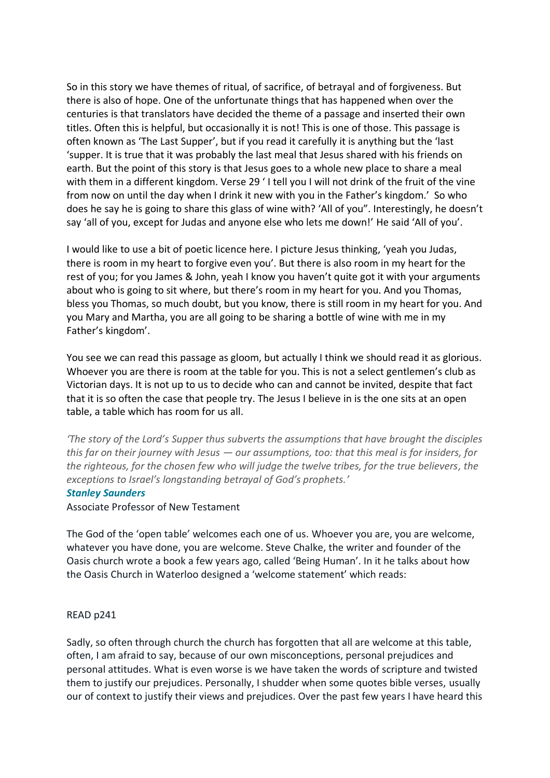So in this story we have themes of ritual, of sacrifice, of betrayal and of forgiveness. But there is also of hope. One of the unfortunate things that has happened when over the centuries is that translators have decided the theme of a passage and inserted their own titles. Often this is helpful, but occasionally it is not! This is one of those. This passage is often known as 'The Last Supper', but if you read it carefully it is anything but the 'last 'supper. It is true that it was probably the last meal that Jesus shared with his friends on earth. But the point of this story is that Jesus goes to a whole new place to share a meal with them in a different kingdom. Verse 29 ' I tell you I will not drink of the fruit of the vine from now on until the day when I drink it new with you in the Father's kingdom.' So who does he say he is going to share this glass of wine with? 'All of you". Interestingly, he doesn't say 'all of you, except for Judas and anyone else who lets me down!' He said 'All of you'.

I would like to use a bit of poetic licence here. I picture Jesus thinking, 'yeah you Judas, there is room in my heart to forgive even you'. But there is also room in my heart for the rest of you; for you James & John, yeah I know you haven't quite got it with your arguments about who is going to sit where, but there's room in my heart for you. And you Thomas, bless you Thomas, so much doubt, but you know, there is still room in my heart for you. And you Mary and Martha, you are all going to be sharing a bottle of wine with me in my Father's kingdom'.

You see we can read this passage as gloom, but actually I think we should read it as glorious. Whoever you are there is room at the table for you. This is not a select gentlemen's club as Victorian days. It is not up to us to decide who can and cannot be invited, despite that fact that it is so often the case that people try. The Jesus I believe in is the one sits at an open table, a table which has room for us all.

*'The story of the Lord's Supper thus subverts the assumptions that have brought the disciples this far on their journey with Jesus — our assumptions, too: that this meal is for insiders, for the righteous, for the chosen few who will judge the twelve trib[es, for the true believers, the](https://www.workingpreacher.org/authors/stanley-saunders)  exceptions to Israel's longstanding betrayal of God's prophets.'* 

## *[Stanley Saunders](https://www.workingpreacher.org/authors/stanley-saunders)*

Associate Professor of New Testament

The God of the 'open table' welcomes each one of us. Whoever you are, you are welcome, whatever you have done, you are welcome. Steve Chalke, the writer and founder of the Oasis church wrote a book a few years ago, called 'Being Human'. In it he talks about how the Oasis Church in Waterloo designed a 'welcome statement' which reads:

## READ p241

Sadly, so often through church the church has forgotten that all are welcome at this table, often, I am afraid to say, because of our own misconceptions, personal prejudices and personal attitudes. What is even worse is we have taken the words of scripture and twisted them to justify our prejudices. Personally, I shudder when some quotes bible verses, usually our of context to justify their views and prejudices. Over the past few years I have heard this